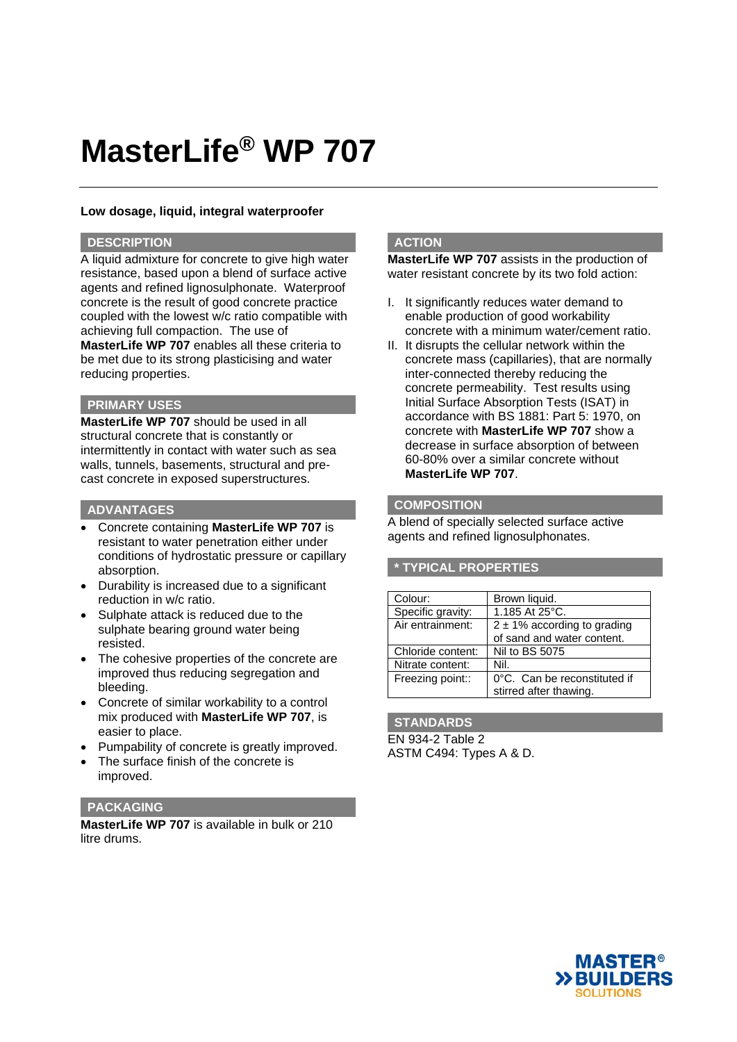# **MasterLife® WP 707**

# **Low dosage, liquid, integral waterproofer**

# **DESCRIPTION**

A liquid admixture for concrete to give high water resistance, based upon a blend of surface active agents and refined lignosulphonate. Waterproof concrete is the result of good concrete practice coupled with the lowest w/c ratio compatible with achieving full compaction. The use of **MasterLife WP 707** enables all these criteria to be met due to its strong plasticising and water reducing properties.

# **PRIMARY USES**

**MasterLife WP 707** should be used in all structural concrete that is constantly or intermittently in contact with water such as sea walls, tunnels, basements, structural and precast concrete in exposed superstructures.

### **ADVANTAGES**

- Concrete containing **MasterLife WP 707** is resistant to water penetration either under conditions of hydrostatic pressure or capillary absorption.
- Durability is increased due to a significant reduction in w/c ratio.
- Sulphate attack is reduced due to the sulphate bearing ground water being resisted.
- The cohesive properties of the concrete are improved thus reducing segregation and bleeding.
- Concrete of similar workability to a control mix produced with **MasterLife WP 707**, is easier to place.
- Pumpability of concrete is greatly improved.
- The surface finish of the concrete is improved.

# **PACKAGING**

**MasterLife WP 707** is available in bulk or 210 litre drums.

# **ACTION**

**MasterLife WP 707** assists in the production of water resistant concrete by its two fold action:

- I. It significantly reduces water demand to enable production of good workability concrete with a minimum water/cement ratio.
- II. It disrupts the cellular network within the concrete mass (capillaries), that are normally inter-connected thereby reducing the concrete permeability. Test results using Initial Surface Absorption Tests (ISAT) in accordance with BS 1881: Part 5: 1970, on concrete with **MasterLife WP 707** show a decrease in surface absorption of between 60-80% over a similar concrete without **MasterLife WP 707**.

#### **COMPOSITION**

A blend of specially selected surface active agents and refined lignosulphonates.

# **\* TYPICAL PROPERTIES**

| Colour:           | Brown liquid.                    |
|-------------------|----------------------------------|
| Specific gravity: | 1.185 At 25°C.                   |
| Air entrainment:  | $2 \pm 1\%$ according to grading |
|                   | of sand and water content.       |
| Chloride content: | Nil to BS 5075                   |
| Nitrate content:  | Nil.                             |
| Freezing point::  | 0°C. Can be reconstituted if     |
|                   | stirred after thawing.           |

#### **STANDARDS**

EN 934-2 Table 2 ASTM C494: Types A & D.

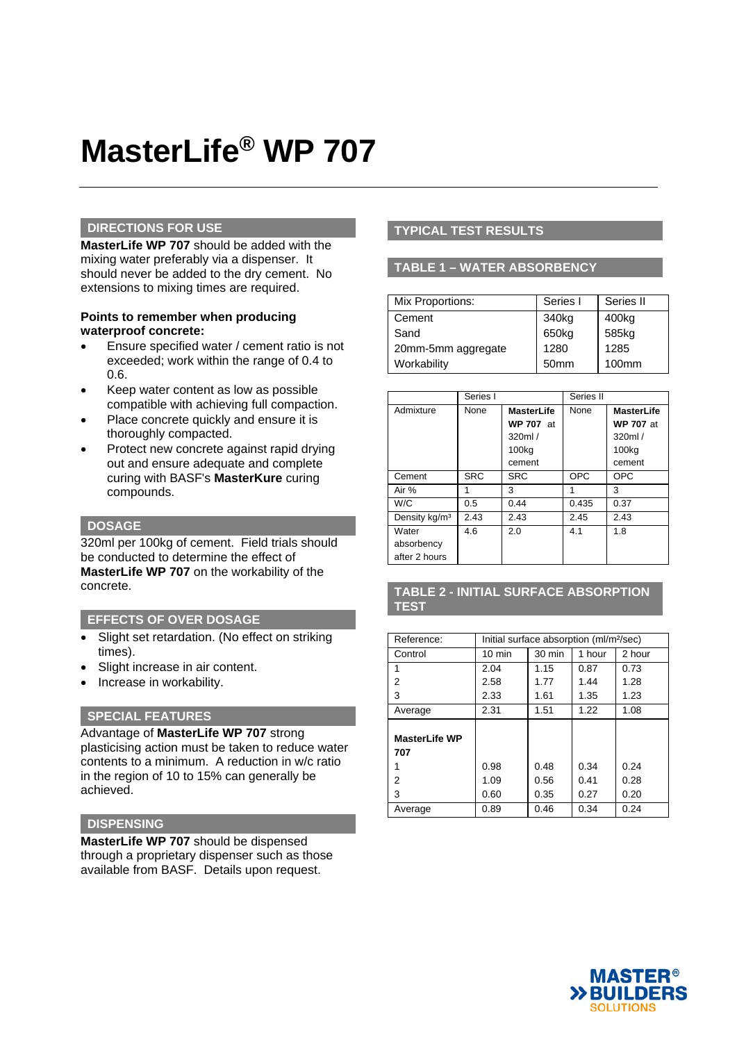# **MasterLife® WP 707**

## **DIRECTIONS FOR USE**

**MasterLife WP 707** should be added with the mixing water preferably via a dispenser. It should never be added to the dry cement. No extensions to mixing times are required.

## **Points to remember when producing waterproof concrete:**

- Ensure specified water / cement ratio is not exceeded; work within the range of 0.4 to 0.6.
- Keep water content as low as possible compatible with achieving full compaction.
- Place concrete quickly and ensure it is thoroughly compacted.
- Protect new concrete against rapid drying out and ensure adequate and complete curing with BASF's **MasterKure** curing compounds.

# **DOSAGE**

320ml per 100kg of cement. Field trials should be conducted to determine the effect of **MasterLife WP 707** on the workability of the concrete.

#### **EFFECTS OF OVER DOSAGE**

- Slight set retardation. (No effect on striking times).
- Slight increase in air content.
- Increase in workability.

# **SPECIAL FEATURES**

Advantage of **MasterLife WP 707** strong plasticising action must be taken to reduce water contents to a minimum. A reduction in w/c ratio in the region of 10 to 15% can generally be achieved.

## **DISPENSING**

**MasterLife WP 707** should be dispensed through a proprietary dispenser such as those available from BASF. Details upon request.

# **TYPICAL TEST RESULTS**

# **TABLE 1 – WATER ABSORBENCY**

| Mix Proportions:   | Series I         | Series II |
|--------------------|------------------|-----------|
| Cement             | 340kg            | 400kg     |
| Sand               | 650kg            | 585kg     |
| 20mm-5mm aggregate | 1280             | 1285      |
| Workability        | 50 <sub>mm</sub> | 100mm     |

|                           | Series I   |                   | Series II  |                   |
|---------------------------|------------|-------------------|------------|-------------------|
| Admixture                 | None       | <b>MasterLife</b> | None       | <b>MasterLife</b> |
|                           |            | <b>WP 707 at</b>  |            | <b>WP 707 at</b>  |
|                           |            | 320ml/            |            | 320ml/            |
|                           |            | 100 <sub>kg</sub> |            | 100 <sub>kg</sub> |
|                           |            | cement            |            | cement            |
| Cement                    | <b>SRC</b> | <b>SRC</b>        | <b>OPC</b> | <b>OPC</b>        |
| Air %                     | 1          | 3                 | 1          | 3                 |
| W/C                       | 0.5        | 0.44              | 0.435      | 0.37              |
| Density kg/m <sup>3</sup> | 2.43       | 2.43              | 2.45       | 2.43              |
| Water                     | 4.6        | 2.0               | 4.1        | 1.8               |
| absorbency                |            |                   |            |                   |
| after 2 hours             |            |                   |            |                   |

# **TABLE 2 - INITIAL SURFACE ABSORPTION TEST**

| Reference:           | Initial surface absorption (ml/m <sup>2</sup> /sec) |                  |        |        |  |
|----------------------|-----------------------------------------------------|------------------|--------|--------|--|
| Control              | $10 \text{ min}$                                    | $30 \text{ min}$ | 1 hour | 2 hour |  |
| 1                    | 2.04                                                | 1.15             | 0.87   | 0.73   |  |
| 2                    | 2.58                                                | 1.77             | 1.44   | 1.28   |  |
| 3                    | 2.33                                                | 1.61             | 1.35   | 1.23   |  |
| Average              | 2.31                                                | 1.51             | 1.22   | 1.08   |  |
|                      |                                                     |                  |        |        |  |
| <b>MasterLife WP</b> |                                                     |                  |        |        |  |
| 707                  |                                                     |                  |        |        |  |
| 1                    | 0.98                                                | 0.48             | 0.34   | 0.24   |  |
| 2                    | 1.09                                                | 0.56             | 0.41   | 0.28   |  |
| 3                    | 0.60                                                | 0.35             | 0.27   | 0.20   |  |
| Average              | 0.89                                                | 0.46             | 0.34   | 0.24   |  |